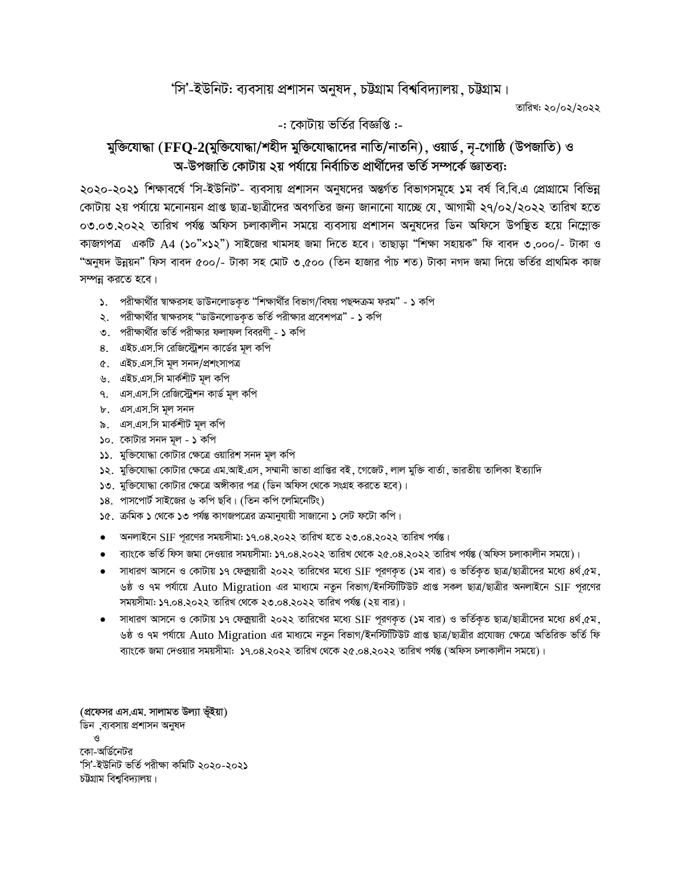## 'সি'-ইউনিট: ব্যবসায় প্রশাসন অনুষদ, চট্টগ্রাম বিশ্ববিদ্যালয়, চট্টগ্রাম।

তারিখ: ২০/০২/২০২২

-: কোটায় ভৰ্তির বিজ্ঞপ্তি :-

## মুক্তিযোদ্ধা (FFQ-2(মুক্তিযোদ্ধা/শহীদ মুক্তিযোদ্ধাদের নাতি/নাতনি), ওয়ার্ড, নৃ-গোষ্ঠি (উপজাতি) ও অ-উপজাতি কোটায় ২য় পর্যায়ে নির্বাচিত প্রার্থীদের ভর্তি সম্পর্কে জ্ঞাতব্য:

২০২০-২০২১ শিক্ষাবর্ষে 'সি-ইউনিট'- ব্যবসায় প্রশাসন অনুষদের অন্তর্গত বিভাগসমূহে ১ম বর্ষ বি.বি.এ প্রোগ্রামে বিভিন্ন কোটায় ২য় পর্যায়ে মনোনয়ন প্রাপ্ত ছাত্র-ছাত্রীদের অবগতির জন্য জানানো যাচ্ছে যে, আগামী ২৭/০২/২০২২ তারিখ হতে ০৩.০৩.২০২২ তারিখ পর্যন্ত অফিস চলাকালীন সময়ে ব্যবসায় প্রশাসন অনুষদের ডিন অফিসে উপষ্থিত হয়ে নিম্লোক্ত কাজগপত্র একটি A4 (১০"×১২") সাইজের খামসহ জমা দিতে হবে। তাছাড়া "শিক্ষা সহায়ক" ফি বাবদ ৩,০০০/- টাকা ও "অনুষদ উন্নয়ন" ফিস বাবদ ৫০০/- টাকা সহ মোট ৩,৫০০ (তিন হাজার পাঁচ শত) টাকা নগদ জমা দিয়ে ভর্তির প্রাথমিক কাজ সম্পন্ন করতে হবে।

- ১. পরীক্ষার্থীর স্বাক্ষরসহ ডাউনলোডকৃত "শিক্ষার্থীর বিভাগ/বিষয় পছন্দক্রম ফরম" ১ কপি
- ২. পরীক্ষার্থীর স্বাক্ষরসহ "ডাউনলোডকৃত ভর্তি পরীক্ষার প্রবেশপত্র" ১ কপি
- ৩. পরীক্ষার্থীর ভর্তি পরীক্ষার ফলাফল বিবরণী ১ কপি
- ৪. এইচ.এস.সি রেজিস্ট্রেশন কার্ডের মূল কপি
- ৫. এইচ.এস.সি মূল সনদ/প্ৰশংসাপত্ৰ
- ৬. এইচ.এস.সি মার্কশীট মূল কপি
- ৭. এস.এস.সি রেজিস্ট্রেশন কার্ড মূল কপি
- ৮. এস.এস.সি মূল সনদ
- ৯. এস.এস.সি মার্কশীট মূল কপি
- ১০. কোটার সনদ মূল ১ কপি
- ১১. মুক্তিযোদ্ধা কোটার ক্ষেত্রে ওয়ারিশ সনদ মূল কপি
- ১২. মুক্তিযোদ্ধা কোটার ক্ষেত্রে এম.আই.এস. সম্মানী ভাতা প্রাপ্তির বই. গেজেট. লাল মুক্তি বার্তা, ভারতীয় তালিকা ইত্যাদি
- ১৩. মুক্তিযোদ্ধা কোটার ক্ষেত্রে অঙ্গীকার পত্র (ডিন অফিস থেকে সংগ্রহ করতে হবে)।
- ১৪. পাসপোর্ট সাইজের ৬ কপি ছবি। (তিন কপি লেমিনেটিং)
- ১৫. ক্রমিক ১ থেকে ১৩ পর্যন্ত কাগজপত্রের ক্রমানুযায়ী সাজানো ১ সেট ফটো কপি।
- অনলাইনে SIF পূরণের সময়সীমা: ১৭.০৪.২০২২ তারিখ হতে ২৩.০৪.২০২২ তারিখ পর্যন্ত।
- ব্যাংকে ভর্তি ফিস জমা দেওয়ার সময়সীমা: ১৭.০৪.২০২২ তারিখ থেকে ২৫.০৪.২০২২ তারিখ পর্যন্ত (অফিস চলাকালীন সময়ে)।
- সাধারণ আসনে ও কোটায় ১৭ ফেক্সয়ারী ২০২২ তারিখের মধ্যে SIF পূরণকৃত (১ম বার) ও ভর্তিকৃত ছাত্র/ছাত্রীদের মধ্যে ৪র্থ,৫ম, ৬ষ্ঠ ও ৭ম পর্যায়ে Auto Migration এর মাধ্যমে নতুন বিভাগ/ইনস্টিটিউট প্রাপ্ত সকল ছাত্র/ছাত্রীর অনলাইনে SIF পূরণের সময়সীমা: ১৭.০৪.২০২২ তারিখ থেকে ২৩.০৪.২০২২ তারিখ পর্যন্ত (২য় বার)।
- সাধারণ আসনে ও কোটায় ১৭ ফেক্সয়ারী ২০২২ তারিখের মধ্যে SIF পূরণকৃত (১ম বার) ও ভর্তিকৃত ছাত্র/ছাত্রীদের মধ্যে ৪র্থ,৫ম, ৬ষ্ঠ ও ৭ম পর্যায়ে Auto Migration এর মাধ্যমে নতুন বিভাগ/ইনস্টিটিউট প্রাপ্ত ছাত্র/ছাত্রীর প্রযোজ্য ক্ষেত্রে অতিরিক্ত ভর্তি ফি ব্যাংকে জমা দেওয়ার সময়সীমা: ১৭.০৪.২০২২ তারিখ থেকে ২৫.০৪.২০২২ তারিখ পর্যন্ত (অফিস চলাকালীন সময়ে)।

(প্রফেসর এস.এম. সালামত উল্যা ভূঁইয়া) ডিন ,ব্যবসায় প্রশাসন অনুষদ কো-অর্ডিনেটর 'সি'-ইউনিট ভৰ্তি পরীক্ষা কমিটি ২০২০-২০২১ চউগ্রাম বিশ্ববিদ্যালয়।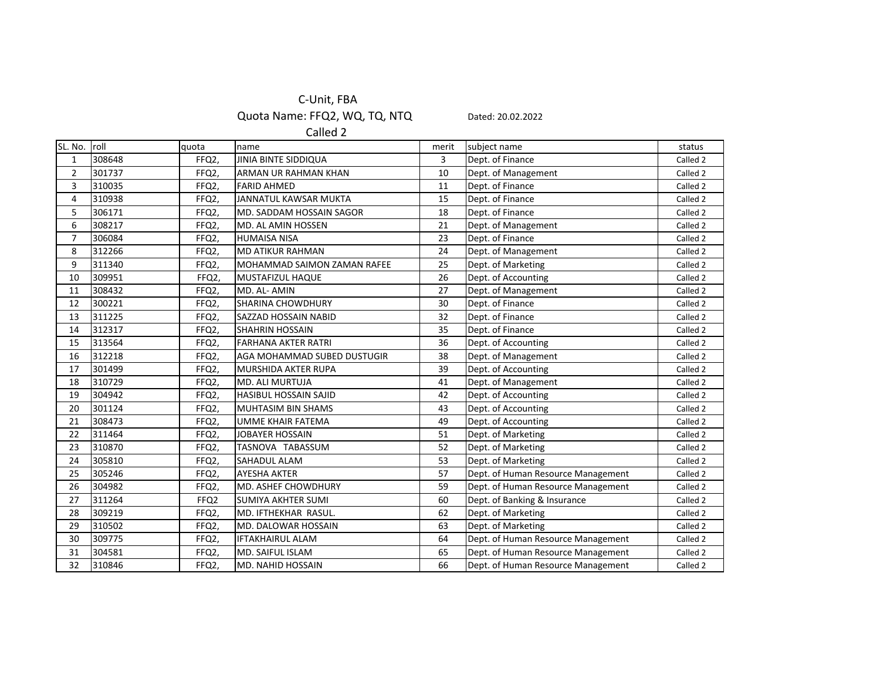## C‐Unit, FBA

Quota Name: FFQ2, WQ, TQ, NTQ Dated: 20.02.2022

Called 2

|        |                  |                              | merit |                                    | status                           |
|--------|------------------|------------------------------|-------|------------------------------------|----------------------------------|
| 308648 | FFQ2,            | <b>JINIA BINTE SIDDIQUA</b>  | 3     | Dept. of Finance                   | Called 2                         |
| 301737 | FFQ2,            | ARMAN UR RAHMAN KHAN         | 10    | Dept. of Management                | Called 2                         |
| 310035 | FFQ2,            | <b>FARID AHMED</b>           | 11    | Dept. of Finance                   | Called 2                         |
| 310938 | FFQ2,            | JANNATUL KAWSAR MUKTA        | 15    |                                    | Called 2                         |
| 306171 | FFQ2,            | MD. SADDAM HOSSAIN SAGOR     | 18    | Dept. of Finance                   | Called 2                         |
| 308217 | FFQ2,            | MD. AL AMIN HOSSEN           | 21    | Dept. of Management                | Called 2                         |
| 306084 | FFQ2,            | <b>HUMAISA NISA</b>          | 23    | Dept. of Finance                   | Called 2                         |
| 312266 | FFQ2,            | <b>MD ATIKUR RAHMAN</b>      | 24    | Dept. of Management                | Called 2                         |
| 311340 | FFQ2,            | MOHAMMAD SAIMON ZAMAN RAFEE  | 25    | Dept. of Marketing                 | Called 2                         |
| 309951 | FFQ2,            | <b>MUSTAFIZUL HAQUE</b>      | 26    | Dept. of Accounting                | Called 2                         |
| 308432 | FFQ2,            | MD. AL- AMIN                 | 27    | Dept. of Management                | Called 2                         |
| 300221 | FFQ2,            | <b>SHARINA CHOWDHURY</b>     | 30    | Dept. of Finance                   | Called 2                         |
| 311225 | FFQ2,            | SAZZAD HOSSAIN NABID         | 32    | Dept. of Finance                   | Called 2                         |
| 312317 | FFQ2,            | <b>SHAHRIN HOSSAIN</b>       | 35    | Dept. of Finance                   | Called 2                         |
| 313564 | FFQ2,            | <b>FARHANA AKTER RATRI</b>   | 36    | Dept. of Accounting                | Called 2                         |
| 312218 | FFQ2,            | AGA MOHAMMAD SUBED DUSTUGIR  | 38    | Dept. of Management                | Called 2                         |
| 301499 | FFQ2,            | <b>MURSHIDA AKTER RUPA</b>   | 39    | Dept. of Accounting                | Called 2                         |
| 310729 | FFQ2,            | <b>MD. ALI MURTUJA</b>       | 41    | Dept. of Management                | Called 2                         |
| 304942 | FFQ2,            | <b>HASIBUL HOSSAIN SAJID</b> | 42    | Dept. of Accounting                | Called 2                         |
| 301124 | FFQ2,            | <b>MUHTASIM BIN SHAMS</b>    | 43    | Dept. of Accounting                | Called 2                         |
| 308473 | FFQ2,            | <b>UMME KHAIR FATEMA</b>     | 49    | Dept. of Accounting                | Called 2                         |
| 311464 | FFQ2,            | <b>JOBAYER HOSSAIN</b>       | 51    | Dept. of Marketing                 | Called 2                         |
| 310870 | FFQ2,            | TASNOVA TABASSUM             | 52    | Dept. of Marketing                 | Called 2                         |
| 305810 | FFQ2,            | SAHADUL ALAM                 | 53    | Dept. of Marketing                 | Called 2                         |
| 305246 | FFQ2,            | <b>AYESHA AKTER</b>          | 57    | Dept. of Human Resource Management | Called 2                         |
| 304982 | FFQ2,            | MD. ASHEF CHOWDHURY          | 59    | Dept. of Human Resource Management | Called 2                         |
| 311264 | FFQ <sub>2</sub> | <b>SUMIYA AKHTER SUMI</b>    | 60    | Dept. of Banking & Insurance       | Called 2                         |
| 309219 | FFQ2,            | MD. IFTHEKHAR RASUL.         | 62    | Dept. of Marketing                 | Called 2                         |
| 310502 | FFQ2,            | MD. DALOWAR HOSSAIN          | 63    | Dept. of Marketing                 | Called 2                         |
| 309775 | FFQ2,            | <b>IFTAKHAIRUL ALAM</b>      | 64    | Dept. of Human Resource Management | Called 2                         |
| 304581 | FFQ2,            | <b>MD. SAIFUL ISLAM</b>      | 65    | Dept. of Human Resource Management | Called 2                         |
| 310846 | FFQ2,            | <b>MD. NAHID HOSSAIN</b>     | 66    | Dept. of Human Resource Management | Called 2                         |
|        | SL. No. roll     | quota                        |       | name                               | subject name<br>Dept. of Finance |